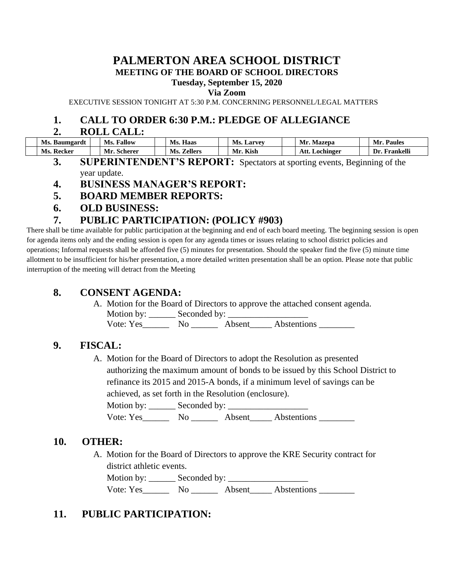### **PALMERTON AREA SCHOOL DISTRICT MEETING OF THE BOARD OF SCHOOL DIRECTORS**

#### **Tuesday, September 15, 2020**

#### **Via Zoom**

EXECUTIVE SESSION TONIGHT AT 5:30 P.M. CONCERNING PERSONNEL/LEGAL MATTERS

### **1. CALL TO ORDER 6:30 P.M.: PLEDGE OF ALLEGIANCE**

#### **2. ROLL CALL:**

| Ms.<br>Baumgardt | Ms.<br>Fallow             | Haas<br>Ms.           | Ms.<br>Larvev | Mr<br>Mazepa      | <b>Paules</b><br>Mr. |
|------------------|---------------------------|-----------------------|---------------|-------------------|----------------------|
| Ms.<br>Recker    | M <sub>l</sub><br>scherer | Ms.<br><b>Zellers</b> | Kish<br>Mr.   | Att.<br>Lochinger | Frankelli<br>1)r     |

- **3. SUPERINTENDENT'S REPORT:** Spectators at sporting events, Beginning of the year update.
- **4. BUSINESS MANAGER'S REPORT:**
- **5. BOARD MEMBER REPORTS:**
- **6. OLD BUSINESS:**

### **7. PUBLIC PARTICIPATION: (POLICY #903)**

There shall be time available for public participation at the beginning and end of each board meeting. The beginning session is open for agenda items only and the ending session is open for any agenda times or issues relating to school district policies and operations; Informal requests shall be afforded five (5) minutes for presentation. Should the speaker find the five (5) minute time allotment to be insufficient for his/her presentation, a more detailed written presentation shall be an option. Please note that public interruption of the meeting will detract from the Meeting

### **8. CONSENT AGENDA:**

A. Motion for the Board of Directors to approve the attached consent agenda. Motion by: \_\_\_\_\_\_ Seconded by: \_\_\_\_\_\_\_\_\_\_\_\_\_\_\_\_\_\_ Vote: Yes\_\_\_\_\_\_ No \_\_\_\_\_\_ Absent\_\_\_\_\_ Abstentions \_\_\_\_\_\_\_\_

### **9. FISCAL:**

A. Motion for the Board of Directors to adopt the Resolution as presented authorizing the maximum amount of bonds to be issued by this School District to refinance its 2015 and 2015-A bonds, if a minimum level of savings can be achieved, as set forth in the Resolution (enclosure).

Motion by: \_\_\_\_\_\_ Seconded by: \_\_\_\_\_\_\_\_\_\_\_\_\_\_\_\_\_\_ Vote: Yes\_\_\_\_\_\_\_\_ No \_\_\_\_\_\_\_ Absent\_\_\_\_\_ Abstentions \_\_\_\_\_\_\_\_

### **10. OTHER:**

A. Motion for the Board of Directors to approve the KRE Security contract for district athletic events.

Motion by: Seconded by: Vote: Yes No Absent Abstentions

## **11. PUBLIC PARTICIPATION:**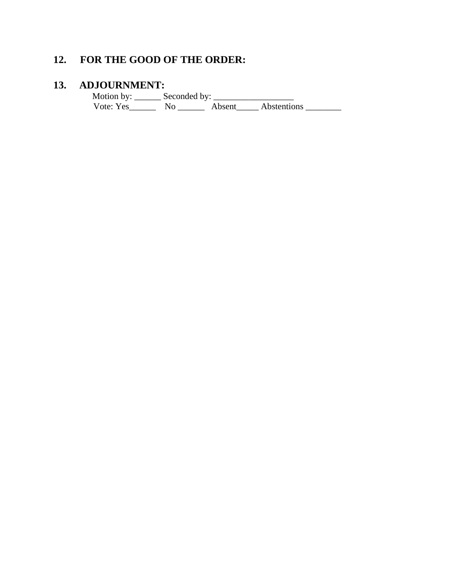# **12. FOR THE GOOD OF THE ORDER:**

#### **13. ADJOURNMENT:**

 Motion by: \_\_\_\_\_\_ Seconded by: \_\_\_\_\_\_\_\_\_\_\_\_\_\_\_\_\_\_ Vote: Yes\_\_\_\_\_\_\_\_ No \_\_\_\_\_\_\_ Absent\_\_\_\_\_ Abstentions \_\_\_\_\_\_\_\_\_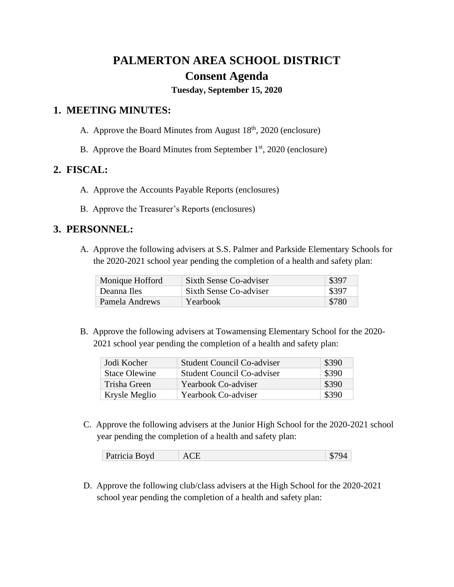# **PALMERTON AREA SCHOOL DISTRICT Consent Agenda**

**Tuesday, September 15, 2020**

### **1. MEETING MINUTES:**

- A. Approve the Board Minutes from August  $18<sup>th</sup>$ , 2020 (enclosure)
- B. Approve the Board Minutes from September  $1<sup>st</sup>$ , 2020 (enclosure)

### **2. FISCAL:**

- A. Approve the Accounts Payable Reports (enclosures)
- B. Approve the Treasurer's Reports (enclosures)

### **3. PERSONNEL:**

A. Approve the following advisers at S.S. Palmer and Parkside Elementary Schools for the 2020-2021 school year pending the completion of a health and safety plan:

| Monique Hofford | Sixth Sense Co-adviser | \$397         |
|-----------------|------------------------|---------------|
| Deanna Iles     | Sixth Sense Co-adviser | $\sqrt{3397}$ |
| Pamela Andrews  | Yearbook               | \$780         |

B. Approve the following advisers at Towamensing Elementary School for the 2020- 2021 school year pending the completion of a health and safety plan:

| Jodi Kocher          | <b>Student Council Co-adviser</b> | \$390 |
|----------------------|-----------------------------------|-------|
| <b>Stace Olewine</b> | <b>Student Council Co-adviser</b> | \$390 |
| Trisha Green         | Yearbook Co-adviser               | \$390 |
| Krysle Meglio        | Yearbook Co-adviser               | \$390 |

C. Approve the following advisers at the Junior High School for the 2020-2021 school year pending the completion of a health and safety plan:

| <b>Boyd</b><br>$\lambda$<br>Patricia Be<br>៶៲ |  |
|-----------------------------------------------|--|
|-----------------------------------------------|--|

D. Approve the following club/class advisers at the High School for the 2020-2021 school year pending the completion of a health and safety plan: